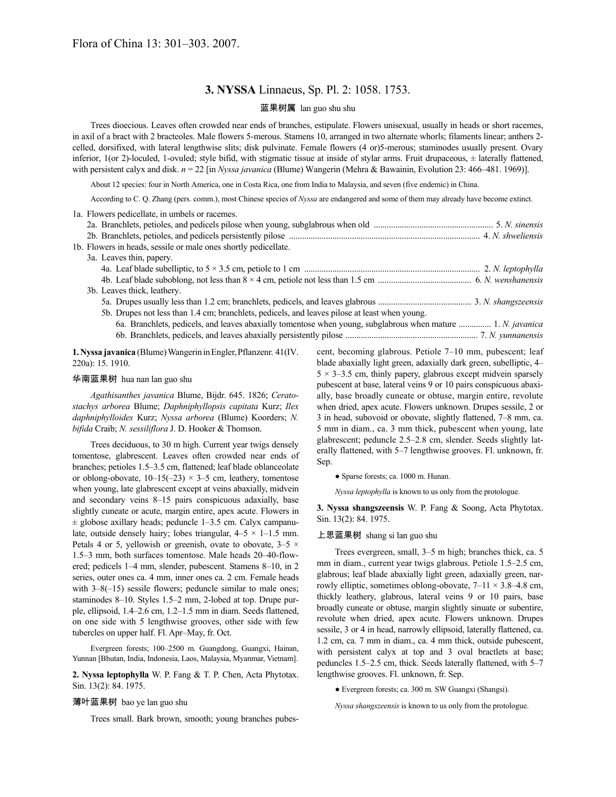# **3. NYSSA** Linnaeus, Sp. Pl. 2: 1058. 1753.

#### 蓝果树属 lan guo shu shu

Trees dioecious. Leaves often crowded near ends of branches, estipulate. Flowers unisexual, usually in heads or short racemes, in axil of a bract with 2 bracteoles. Male flowers 5-merous. Stamens 10, arranged in two alternate whorls; filaments linear; anthers 2 celled, dorsifixed, with lateral lengthwise slits; disk pulvinate. Female flowers (4 or)5-merous; staminodes usually present. Ovary inferior,  $1$ (or 2)-loculed, 1-ovuled; style bifid, with stigmatic tissue at inside of stylar arms. Fruit drupaceous,  $\pm$  laterally flattened, with persistent calyx and disk. *n* = 22 [in *Nyssa javanica* (Blume) Wangerin (Mehra & Bawainin, Evolution 23: 466–481. 1969)].

About 12 species: four in North America, one in Costa Rica, one from India to Malaysia, and seven (five endemic) in China.

According to C. Q. Zhang (pers. comm.), most Chinese species of *Nyssa* are endangered and some of them may already have become extinct.

|  | 1a. Flowers pedicellate, in umbels or racemes.                                                               |  |
|--|--------------------------------------------------------------------------------------------------------------|--|
|  |                                                                                                              |  |
|  |                                                                                                              |  |
|  | 1b. Flowers in heads, sessile or male ones shortly pedicellate.                                              |  |
|  | 3a. Leaves thin, papery.                                                                                     |  |
|  |                                                                                                              |  |
|  |                                                                                                              |  |
|  | 3b. Leaves thick, leathery.                                                                                  |  |
|  |                                                                                                              |  |
|  | 5b. Drupes not less than 1.4 cm; branchlets, pedicels, and leaves pilose at least when young.                |  |
|  | 6a. Branchlets, pedicels, and leaves abaxially tomentose when young, subglabrous when mature  1. N. javanica |  |
|  |                                                                                                              |  |

**1.Nyssa javanica** (Blume)WangerininEngler,Pflanzenr. 41(IV. 220a): 15. 1910.

#### 华南蓝果树 hua nan lan guo shu

*Agathisanthes javanica* Blume, Bijdr. 645. 1826; *Ceratostachys arborea* Blume; *Daphniphyllopsis capitata* Kurz; *Ilex daphniphylloides* Kurz; *Nyssa arborea* (Blume) Koorders; *N. bifida* Craib; *N. sessiliflora* J. D. Hooker & Thomson.

Trees deciduous, to 30 m high. Current year twigs densely tomentose, glabrescent. Leaves often crowded near ends of branches; petioles 1.5–3.5 cm, flattened; leaf blade oblanceolate or oblong-obovate,  $10-15(-23) \times 3-5$  cm, leathery, tomentose when young, late glabrescent except at veins abaxially, midvein and secondary veins 8–15 pairs conspicuous adaxially, base slightly cuneate or acute, margin entire, apex acute. Flowers in  $\pm$  globose axillary heads; peduncle 1–3.5 cm. Calyx campanulate, outside densely hairy; lobes triangular,  $4-5 \times 1-1.5$  mm. Petals 4 or 5, yellowish or greenish, ovate to obovate,  $3-5 \times$ 1.5–3 mm, both surfaces tomentose. Male heads 20–40-flowered; pedicels 1–4 mm, slender, pubescent. Stamens 8–10, in 2 series, outer ones ca. 4 mm, inner ones ca. 2 cm. Female heads with  $3-8(-15)$  sessile flowers; peduncle similar to male ones; staminodes 8–10. Styles 1.5–2 mm, 2-lobed at top. Drupe purple, ellipsoid, 1.4–2.6 cm, 1.2–1.5 mm in diam. Seeds flattened, on one side with 5 lengthwise grooves, other side with few tubercles on upper half. Fl. Apr–May, fr. Oct.

Evergreen forests; 100–2500 m. Guangdong, Guangxi, Hainan, Yunnan [Bhutan, India, Indonesia, Laos, Malaysia, Myanmar, Vietnam].

**2. Nyssa leptophylla** W. P. Fang & T. P. Chen, Acta Phytotax. Sin. 13(2): 84. 1975.

#### 薄叶蓝果树 bao ye lan guo shu

Trees small. Bark brown, smooth; young branches pubes-

cent, becoming glabrous. Petiole 7–10 mm, pubescent; leaf blade abaxially light green, adaxially dark green, subelliptic, 4–  $5 \times 3 - 3.5$  cm, thinly papery, glabrous except midvein sparsely pubescent at base, lateral veins 9 or 10 pairs conspicuous abaxially, base broadly cuneate or obtuse, margin entire, revolute when dried, apex acute. Flowers unknown. Drupes sessile, 2 or 3 in head, subovoid or obovate, slightly flattened, 7–8 mm, ca. 5 mm in diam., ca. 3 mm thick, pubescent when young, late glabrescent; peduncle 2.5–2.8 cm, slender. Seeds slightly laterally flattened, with 5–7 lengthwise grooves. Fl. unknown, fr. Sep.

● Sparse forests; ca. 1000 m. Hunan.

*Nyssa leptophylla* is known to us only from the protologue.

**3. Nyssa shangszeensis** W. P. Fang & Soong, Acta Phytotax. Sin. 13(2): 84. 1975.

#### 上思蓝果树 shang si lan guo shu

Trees evergreen, small, 3–5 m high; branches thick, ca. 5 mm in diam., current year twigs glabrous. Petiole 1.5–2.5 cm, glabrous; leaf blade abaxially light green, adaxially green, narrowly elliptic, sometimes oblong-obovate,  $7-11 \times 3.8-4.8$  cm, thickly leathery, glabrous, lateral veins 9 or 10 pairs, base broadly cuneate or obtuse, margin slightly sinuate or subentire, revolute when dried, apex acute. Flowers unknown. Drupes sessile, 3 or 4 in head, narrowly ellipsoid, laterally flattened, ca. 1.2 cm, ca. 7 mm in diam., ca. 4 mm thick, outside pubescent, with persistent calyx at top and 3 oval bractlets at base; peduncles 1.5–2.5 cm, thick. Seeds laterally flattened, with 5–7 lengthwise grooves. Fl. unknown, fr. Sep.

● Evergreen forests; ca. 300 m. SW Guangxi (Shangsi).

*Nyssa shangszeensis* is known to us only from the protologue.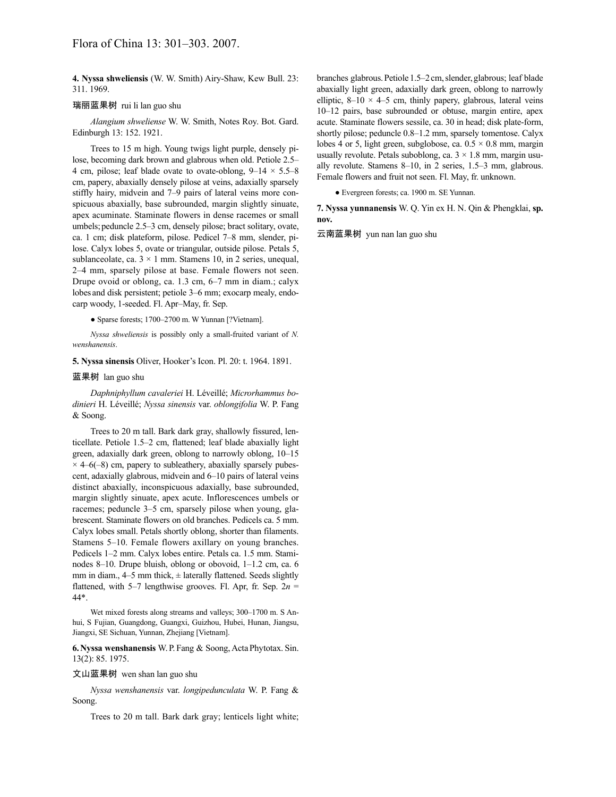**4. Nyssa shweliensis** (W. W. Smith) Airy-Shaw, Kew Bull. 23: 311. 1969.

## 瑞丽蓝果树 rui li lan guo shu

*Alangium shweliense* W. W. Smith, Notes Roy. Bot. Gard. Edinburgh 13: 152. 1921.

Trees to 15 m high. Young twigs light purple, densely pilose, becoming dark brown and glabrous when old. Petiole 2.5– 4 cm, pilose; leaf blade ovate to ovate-oblong,  $9-14 \times 5.5-8$ cm, papery, abaxially densely pilose at veins, adaxially sparsely stiffly hairy, midvein and 7–9 pairs of lateral veins more conspicuous abaxially, base subrounded, margin slightly sinuate, apex acuminate. Staminate flowers in dense racemes or small umbels; peduncle 2.5–3 cm, densely pilose; bract solitary, ovate, ca. 1 cm; disk plateform, pilose. Pedicel 7–8 mm, slender, pilose. Calyx lobes 5, ovate or triangular, outside pilose. Petals 5, sublanceolate, ca.  $3 \times 1$  mm. Stamens 10, in 2 series, unequal, 2–4 mm, sparsely pilose at base. Female flowers not seen. Drupe ovoid or oblong, ca. 1.3 cm, 6–7 mm in diam.; calyx lobes and disk persistent; petiole 3–6 mm; exocarp mealy, endocarp woody, 1-seeded. Fl. Apr–May, fr. Sep.

● Sparse forests; 1700–2700 m. W Yunnan [?Vietnam].

*Nyssa shweliensis* is possibly only a small-fruited variant of *N. wenshanensis*.

**5. Nyssa sinensis** Oliver, Hooker's Icon. Pl. 20: t. 1964. 1891.

## 蓝果树 lan guo shu

*Daphniphyllum cavaleriei* H. Léveillé; *Microrhammus bodinieri* H. Léveillé; *Nyssa sinensis* var. *oblongifolia* W. P. Fang & Soong.

Trees to 20 m tall. Bark dark gray, shallowly fissured, lenticellate. Petiole 1.5–2 cm, flattened; leaf blade abaxially light green, adaxially dark green, oblong to narrowly oblong, 10–15  $\times$  4–6(–8) cm, papery to subleathery, abaxially sparsely pubescent, adaxially glabrous, midvein and 6–10 pairs of lateral veins distinct abaxially, inconspicuous adaxially, base subrounded, margin slightly sinuate, apex acute. Inflorescences umbels or racemes; peduncle 3–5 cm, sparsely pilose when young, glabrescent. Staminate flowers on old branches. Pedicels ca. 5 mm. Calyx lobes small. Petals shortly oblong, shorter than filaments. Stamens 5–10. Female flowers axillary on young branches. Pedicels 1–2 mm. Calyx lobes entire. Petals ca. 1.5 mm. Staminodes 8–10. Drupe bluish, oblong or obovoid, 1–1.2 cm, ca. 6 mm in diam.,  $4-5$  mm thick,  $\pm$  laterally flattened. Seeds slightly flattened, with 5–7 lengthwise grooves. Fl. Apr, fr. Sep. 2*n* = 44\*.

Wet mixed forests along streams and valleys; 300–1700 m. S Anhui, S Fujian, Guangdong, Guangxi, Guizhou, Hubei, Hunan, Jiangsu, Jiangxi, SE Sichuan, Yunnan, Zhejiang [Vietnam].

**6.Nyssa wenshanensis** W.P.Fang & Soong,ActaPhytotax. Sin. 13(2): 85. 1975.

### 文山蓝果树 wen shan lan guo shu

*Nyssa wenshanensis* var. *longipedunculata* W. P. Fang & Soong.

Trees to 20 m tall. Bark dark gray; lenticels light white;

branches glabrous. Petiole 1.5–2 cm, slender, glabrous; leaf blade abaxially light green, adaxially dark green, oblong to narrowly elliptic,  $8-10 \times 4-5$  cm, thinly papery, glabrous, lateral veins 10–12 pairs, base subrounded or obtuse, margin entire, apex acute. Staminate flowers sessile, ca. 30 in head; disk plate-form, shortly pilose; peduncle 0.8–1.2 mm, sparsely tomentose. Calyx lobes 4 or 5, light green, subglobose, ca.  $0.5 \times 0.8$  mm, margin usually revolute. Petals suboblong, ca.  $3 \times 1.8$  mm, margin usually revolute. Stamens 8–10, in 2 series, 1.5–3 mm, glabrous. Female flowers and fruit not seen. Fl. May, fr. unknown.

● Evergreen forests; ca. 1900 m. SE Yunnan.

**7. Nyssa yunnanensis** W. Q. Yin ex H. N. Qin & Phengklai, **sp. nov.**

云南蓝果树 yun nan lan guo shu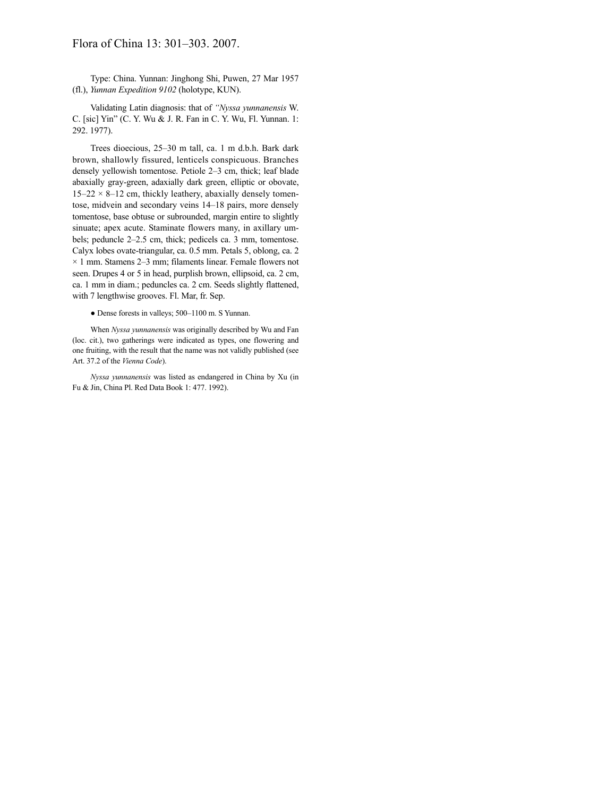# Flora of China 13: 301–303. 2007.

Type: China. Yunnan: Jinghong Shi, Puwen, 27 Mar 1957 (fl.), *Yunnan Expedition 9102* (holotype, KUN).

Validating Latin diagnosis: that of *"Nyssa yunnanensis* W. C. [sic] Yin" (C. Y. Wu & J. R. Fan in C. Y. Wu, Fl. Yunnan. 1: 292. 1977).

Trees dioecious, 25–30 m tall, ca. 1 m d.b.h. Bark dark brown, shallowly fissured, lenticels conspicuous. Branches densely yellowish tomentose. Petiole 2–3 cm, thick; leaf blade abaxially gray-green, adaxially dark green, elliptic or obovate,  $15-22 \times 8-12$  cm, thickly leathery, abaxially densely tomentose, midvein and secondary veins 14–18 pairs, more densely tomentose, base obtuse or subrounded, margin entire to slightly sinuate; apex acute. Staminate flowers many, in axillary umbels; peduncle 2–2.5 cm, thick; pedicels ca. 3 mm, tomentose. Calyx lobes ovate-triangular, ca. 0.5 mm. Petals 5, oblong, ca. 2  $\times$  1 mm. Stamens 2–3 mm; filaments linear. Female flowers not seen. Drupes 4 or 5 in head, purplish brown, ellipsoid, ca. 2 cm, ca. 1 mm in diam.; peduncles ca. 2 cm. Seeds slightly flattened, with 7 lengthwise grooves. Fl. Mar, fr. Sep.

● Dense forests in valleys; 500–1100 m. S Yunnan.

When *Nyssa yunnanensis* was originally described by Wu and Fan (loc. cit.), two gatherings were indicated as types, one flowering and one fruiting, with the result that the name was not validly published (see Art. 37.2 of the *Vienna Code*).

*Nyssa yunnanensis* was listed as endangered in China by Xu (in Fu & Jin, China Pl. Red Data Book 1: 477. 1992).